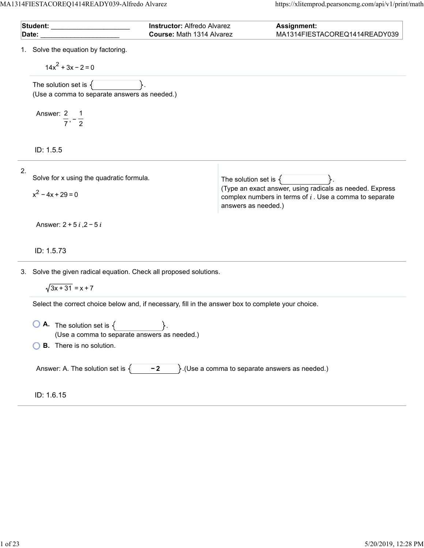MA1314FIESTACOREQ1414READY039-Alfredo Alvarez https://xlitemprod.pearsoncmg.com/api/v1/print/math

| Student: ___________<br>Date:                                                                | Instructor: Alfredo Alvarez<br>Course: Math 1314 Alvarez                                                                                           | Assignment:<br>MA1314FIESTACOREQ1414READY039                                                                                                                             |  |  |
|----------------------------------------------------------------------------------------------|----------------------------------------------------------------------------------------------------------------------------------------------------|--------------------------------------------------------------------------------------------------------------------------------------------------------------------------|--|--|
| 1. Solve the equation by factoring.<br>$14x^2 + 3x - 2 = 0$                                  |                                                                                                                                                    |                                                                                                                                                                          |  |  |
| The solution set is $\{$<br>(Use a comma to separate answers as needed.)                     |                                                                                                                                                    |                                                                                                                                                                          |  |  |
| Answer: $\frac{2}{7}, -\frac{1}{2}$                                                          |                                                                                                                                                    |                                                                                                                                                                          |  |  |
| ID: 1.5.5                                                                                    |                                                                                                                                                    |                                                                                                                                                                          |  |  |
| 2.<br>Solve for x using the quadratic formula.<br>$x^2 - 4x + 29 = 0$                        |                                                                                                                                                    | The solution set is $\{$<br>(Type an exact answer, using radicals as needed. Express<br>complex numbers in terms of $i$ . Use a comma to separate<br>answers as needed.) |  |  |
| Answer: $2 + 5i$ , $2 - 5i$<br>ID: 1.5.73                                                    |                                                                                                                                                    |                                                                                                                                                                          |  |  |
| 3. Solve the given radical equation. Check all proposed solutions.<br>$\sqrt{3x+31} = x + 7$ |                                                                                                                                                    |                                                                                                                                                                          |  |  |
| $\bigcup$ <b>A.</b> The solution set is $\{$<br><b>B.</b> There is no solution.              | Select the correct choice below and, if necessary, fill in the answer box to complete your choice.<br>(Use a comma to separate answers as needed.) |                                                                                                                                                                          |  |  |
|                                                                                              | }.(Use a comma to separate answers as needed.)<br>Answer: A. The solution set is $\{$<br>$-2$                                                      |                                                                                                                                                                          |  |  |
| ID: 1.6.15                                                                                   |                                                                                                                                                    |                                                                                                                                                                          |  |  |

 $\overline{a}$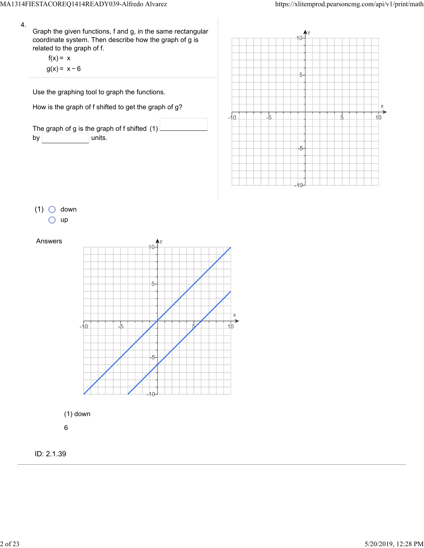$\frac{1}{5}$ 

X  $\overrightarrow{10}$ 

 $5-$ 

 $-5$ 



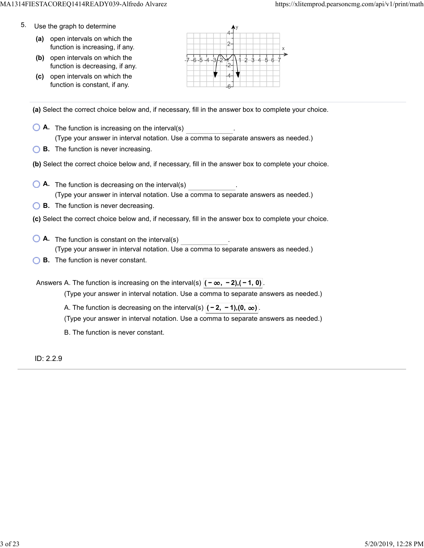- 5. Use the graph to determine
	- **(a)** open intervals on which the function is increasing, if any.
	- **(b)** open intervals on which the function is decreasing, if any.
	- **(c)** open intervals on which the function is constant, if any.



**(a)** Select the correct choice below and, if necessary, fill in the answer box to complete your choice.

- **A.** The function is increasing on the interval(s) . (Type your answer in interval notation. Use a comma to separate answers as needed.)
- **B.** The function is never increasing.
- **(b)** Select the correct choice below and, if necessary, fill in the answer box to complete your choice.
- **A.** The function is decreasing on the interval(s) . (Type your answer in interval notation. Use a comma to separate answers as needed.)
- **B.** The function is never decreasing.
- **(c)** Select the correct choice below and, if necessary, fill in the answer box to complete your choice.
- **A**. The function is constant on the interval(s) **A**. (Type your answer in interval notation. Use a comma to separate answers as needed.)
- **B.** The function is never constant.

Answers A. The function is increasing on the interval(s)  $|(-\infty, -2), (-1, 0)|$ . (Type your answer in interval notation. Use a comma to separate answers as needed.)

A. The function is decreasing on the interval(s)  $|(-2, -1)$ , (0, ∞).

(Type your answer in interval notation. Use a comma to separate answers as needed.)

B. The function is never constant.

ID: 2.2.9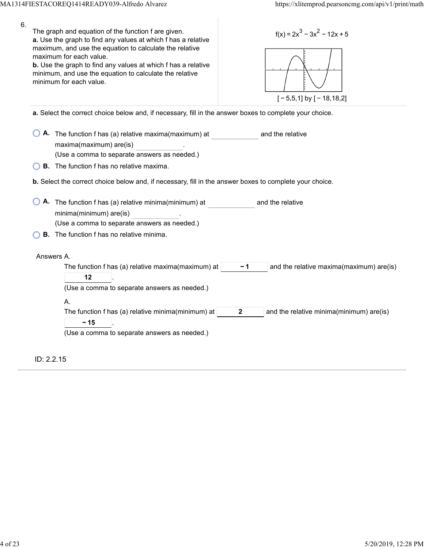| 6. | The graph and equation of the function f are given.<br>$f(x) = 2x^3 - 3x^2 - 12x + 5$<br>a. Use the graph to find any values at which f has a relative<br>maximum, and use the equation to calculate the relative<br>maximum for each value.<br>b. Use the graph to find any values at which f has a relative<br>minimum, and use the equation to calculate the relative<br>minimum for each value.<br>$[-5,5,1]$ by $[-18,18,2]$ |
|----|-----------------------------------------------------------------------------------------------------------------------------------------------------------------------------------------------------------------------------------------------------------------------------------------------------------------------------------------------------------------------------------------------------------------------------------|
|    | a. Select the correct choice below and, if necessary, fill in the answer boxes to complete your choice.                                                                                                                                                                                                                                                                                                                           |
|    | A. The function f has (a) relative maxima(maximum) at<br>and the relative<br>maxima(maximum) are(is)<br>(Use a comma to separate answers as needed.)                                                                                                                                                                                                                                                                              |
|    | <b>B.</b> The function f has no relative maxima.                                                                                                                                                                                                                                                                                                                                                                                  |
|    | b. Select the correct choice below and, if necessary, fill in the answer boxes to complete your choice.                                                                                                                                                                                                                                                                                                                           |
|    | A. The function f has (a) relative minima(minimum) at<br>and the relative<br>minima(minimum) are(is)<br>(Use a comma to separate answers as needed.)<br><b>B.</b> The function f has no relative minima.                                                                                                                                                                                                                          |
|    |                                                                                                                                                                                                                                                                                                                                                                                                                                   |
|    | Answers A.<br>The function f has (a) relative maxima(maximum) at<br>$-1$<br>and the relative maxima(maximum) are(is)<br>12<br>(Use a comma to separate answers as needed.)                                                                                                                                                                                                                                                        |
|    | А.                                                                                                                                                                                                                                                                                                                                                                                                                                |
|    | The function f has (a) relative minima(minimum) at<br>$\overline{2}$<br>and the relative minima(minimum) are(is)<br>$-15$<br>(Use a comma to separate answers as needed.)                                                                                                                                                                                                                                                         |
|    |                                                                                                                                                                                                                                                                                                                                                                                                                                   |
|    | ID: 2.2.15                                                                                                                                                                                                                                                                                                                                                                                                                        |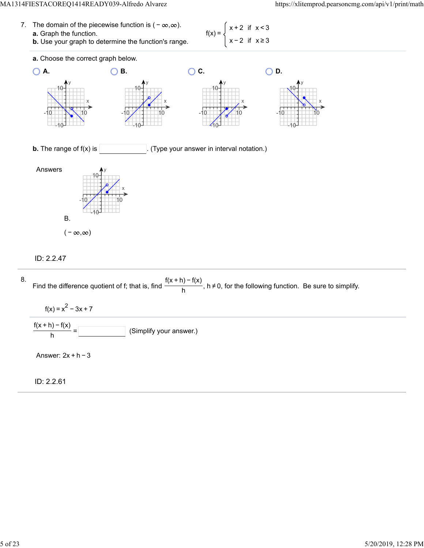### MA1314FIESTACOREQ1414READY039-Alfredo Alvarez https://xlitemprod.pearsoncmg.com/api/v1/print/math

| 7. The domain of the piecewise function is $(-\infty,\infty)$ .                              | $f(x) = \begin{cases} x + 2 & \text{if } x < 3 \end{cases}$ |
|----------------------------------------------------------------------------------------------|-------------------------------------------------------------|
| <b>a.</b> Graph the function.<br><b>b.</b> Use your graph to determine the function's range. | $x^2$ $\begin{cases} x-2 & \text{if } x \ge 3 \end{cases}$  |





## ID: 2.2.47



ID: 2.2.61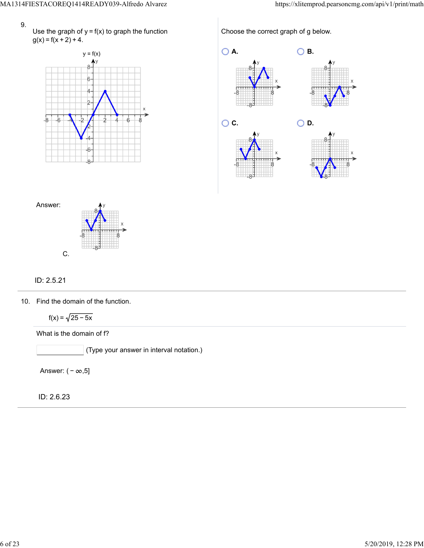Use the graph of  $y = f(x)$  to graph the function  $g(x) = f(x + 2) + 4$ .



Choose the correct graph of g below.





# ID: 2.5.21

10. Find the domain of the function.

 $f(x) = \sqrt{25 - 5x}$ 

What is the domain of f?

(Type your answer in interval notation.)

Answer:  $(-\infty, 5]$ 

ID: 2.6.23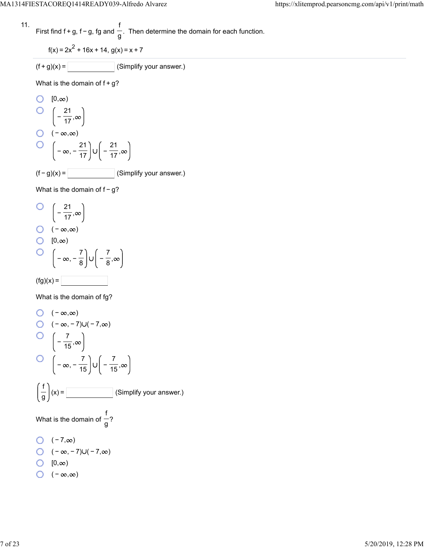11. First find 
$$
f + g
$$
,  $f - g$ , fg and  $\frac{f}{g}$ . Then determine the domain for each function.

$$
f(x) = 2x^2 + 16x + 14, g(x) = x + 7
$$

$$
(f+g)(x) = \boxed{\qquad \qquad} \text{(Simplify your answer.)}
$$

What is the domain of  $f+g$ ?

O [0,
$$
\infty
$$
)  
\nO  $\left(-\frac{21}{17}, \infty\right)$   
\nO  $(-\infty, \infty)$   
\nO  $\left(-\infty, -\frac{21}{17}\right) \cup \left(-\frac{21}{17}, \infty\right)$   
\n(f - g)(x) = \_\_\_\_\_\_ (Simplify your answer.)

What is the domain of f-g?

O 
$$
\left(-\frac{21}{17}, \infty\right)
$$
  
O  $\left(-\infty, \infty\right)$   
O  $\left(0, \infty\right)$   
O  $\left(-\infty, -\frac{7}{8}\right) \cup \left(-\frac{7}{8}, \infty\right)$   
(fg)(x) =

What is the domain of fg?

O 
$$
(-\infty, \infty)
$$
  
\nO  $(-\infty, -7) \cup (-7, \infty)$   
\nO  $\left(-\frac{7}{15}, \infty\right)$   
\nO  $\left(-\infty, -\frac{7}{15}\right) \cup \left(-\frac{7}{15}, \infty\right)$   
\n $\left(\frac{f}{g}\right)(x) =$  [Simplify your answer.)  
\nWhat is the domain of  $\frac{f}{g}$ ?  
\nO  $(-7, \infty)$   
\nO  $(-\infty, -7) \cup (-7, \infty)$   
\nO  $[0, \infty)$   
\nO  $(-\infty, \infty)$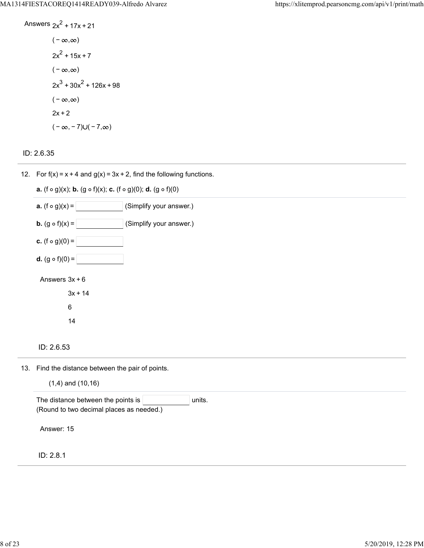Answers 
$$
2x^2 + 17x + 21
$$
  
\n $(-\infty, \infty)$   
\n $2x^2 + 15x + 7$   
\n $(-\infty, \infty)$   
\n $2x^3 + 30x^2 + 126x + 98$   
\n $(-\infty, \infty)$   
\n $2x + 2$   
\n $(-\infty, -7) \cup (-7, \infty)$ 



12. For  $f(x) = x + 4$  and  $g(x) = 3x + 2$ , find the following functions.

| <b>a.</b> (f $\circ$ g)(x); <b>b.</b> (g $\circ$ f)(x); <b>c.</b> (f $\circ$ g)(0); <b>d.</b> (g $\circ$ f)(0) |
|----------------------------------------------------------------------------------------------------------------|
| <b>a.</b> $(f \circ g)(x) =$<br>(Simplify your answer.)                                                        |
| <b>b.</b> $(g \circ f)(x) =$<br>(Simplify your answer.)                                                        |
| <b>c.</b> (f $\circ$ g)(0) =                                                                                   |
| <b>d.</b> $(g \circ f)(0) =$                                                                                   |
| Answers $3x + 6$                                                                                               |
| $3x + 14$                                                                                                      |
| 6                                                                                                              |
| 14                                                                                                             |
|                                                                                                                |
|                                                                                                                |

13. Find the distance between the pair of points.

|  | $(1,4)$ and $(10,16)$ |  |
|--|-----------------------|--|
|  |                       |  |

ID: 2.8.1

ID: 2.6.53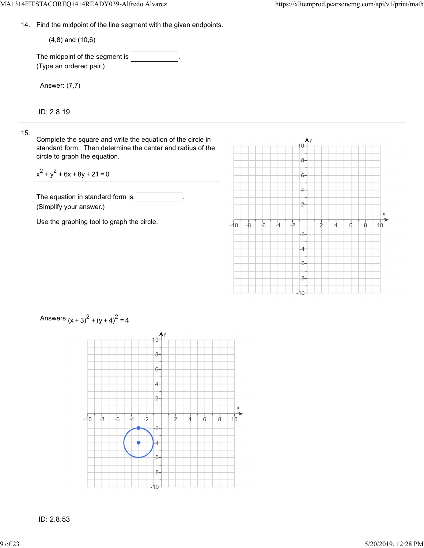IO-

14. Find the midpoint of the line segment with the given endpoints.

| $(4,8)$ and $(10,6)$                                                                                                                                       |                                                                             |         |
|------------------------------------------------------------------------------------------------------------------------------------------------------------|-----------------------------------------------------------------------------|---------|
| The midpoint of the segment is $ $<br>(Type an ordered pair.)                                                                                              |                                                                             |         |
| Answer: (7,7)                                                                                                                                              |                                                                             |         |
| ID: 2.8.19                                                                                                                                                 |                                                                             |         |
| Complete the square and write the equation of the circle in<br>standard form. Then determine the center and radius of the<br>circle to graph the equation. | $10 -$<br>$8-$                                                              |         |
| $x^{2} + y^{2} + 6x + 8y + 21 = 0$                                                                                                                         | $6-$                                                                        |         |
| The equation in standard form is<br>(Simplify your answer.)                                                                                                | 4-<br>$2 -$                                                                 |         |
| Use the graphing tool to graph the circle.                                                                                                                 | $-2$<br>$-8$<br>$-6$<br>$-10$<br>$\overline{A}$<br>8<br>$-2-$<br>4<br>$-6-$ | Χ<br>10 |
|                                                                                                                                                            |                                                                             |         |



Answers  $(x + 3)^{2} + (y + 4)^{2} = 4$ 

ID: 2.8.53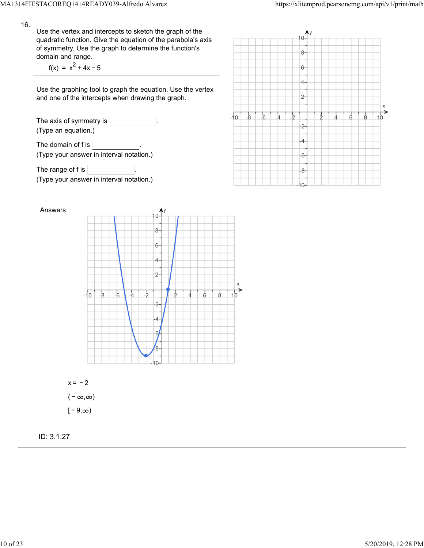Use the vertex and intercepts to sketch the graph of the quadratic function. Give the equation of the parabola's axis of symmetry. Use the graph to determine the function's domain and range.

 $f(x) = x^2 + 4x - 5$ 

Use the graphing tool to graph the equation. Use the vertex and one of the intercepts when drawing the graph.

The axis of symmetry is (Type an equation.) The domain of f is  $\sqrt{ }$ (Type your answer in interval notation.)

The range of f is  $\sqrt{ }$ (Type your answer in interval notation.)





 $x = -2$  $(-\infty, \infty)$  $[-9, \infty)$ 

ID: 3.1.27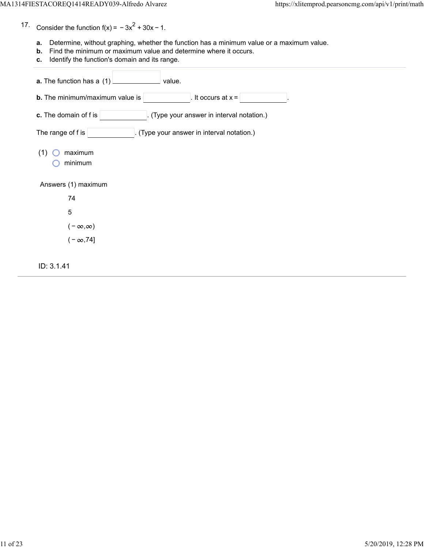17. Consider the function  $f(x) = -3x^2 + 30x - 1$ .

- **a.** Determine, without graphing, whether the function has a minimum value or a maximum value.
- **b.** Find the minimum or maximum value and determine where it occurs.
- **c.** Identify the function's domain and its range.

| a. The function has a (1)<br>value.                               |
|-------------------------------------------------------------------|
| <b>b.</b> The minimum/maximum value is<br>It occurs at $x =$      |
| c. The domain of f is<br>(Type your answer in interval notation.) |
| The range of f is<br>(Type your answer in interval notation.)     |
| maximum<br>(1)<br>minimum                                         |
| Answers (1) maximum                                               |
| 74                                                                |
| 5                                                                 |
| $(-\infty,\infty)$                                                |
| $(-\infty, 74]$                                                   |
| ID: 3.1.41                                                        |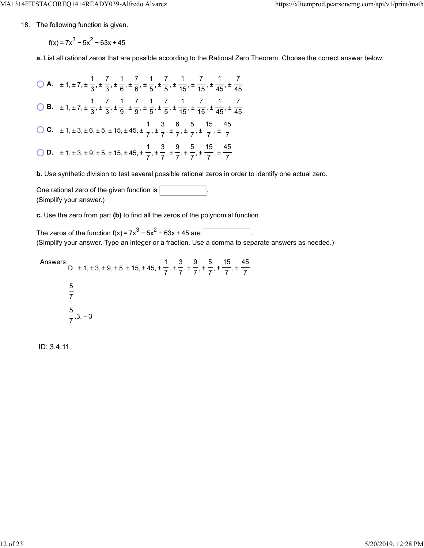18. The following function is given.

 $f(x) = 7x^3 - 5x^2 - 63x + 45$ 

**a.** List all rational zeros that are possible according to the Rational Zero Theorem. Choose the correct answer below.

**A.**  $\pm 1, \pm 7, \pm \frac{1}{2}, \pm \frac{7}{2}, \pm \frac{1}{6}, \pm \frac{7}{6}, \pm \frac{1}{7}, \pm \frac{7}{7}, \pm \frac{1}{45}, \pm \frac{7}{45}, \pm \frac{1}{46}, \pm \frac{1}{47}$  **B.**  $\pm 1, \pm 7, \pm \frac{1}{2}, \pm \frac{7}{2}, \pm \frac{1}{2}, \pm \frac{7}{2}, \pm \frac{1}{2}, \pm \frac{7}{2}, \pm \frac{1}{45}, \pm \frac{7}{45}, \pm \frac{1}{46}, \pm \frac{1}{46}$  **C.**  $\pm 1, \pm 3, \pm 6, \pm 5, \pm 15, \pm 45, \pm \frac{1}{7}, \pm \frac{1}{7}, \pm \frac{1}{7}, \pm \frac{1}{7}, \pm \frac{1}{7}, \pm \frac{1}{7}$  **D.**  $\pm$  1,  $\pm$  3,  $\pm$  9,  $\pm$  5,  $\pm$  15,  $\pm$  45,  $\pm$  <del> $\frac{1}{7}$ ,  $\pm$   $\frac{3}{7}$ ,  $\pm$   $\frac{9}{7}$ ,  $\pm$   $\frac{5}{7}$ ,  $\pm$   $\frac{1}{7}$ ,  $\pm$ </del> 

**b.** Use synthetic division to test several possible rational zeros in order to identify one actual zero.

One rational zero of the given function is . (Simplify your answer.)

**c.** Use the zero from part **(b)** to find all the zeros of the polynomial function.

The zeros of the function  $f(x) = 7x^3 - 5x^2 - 63x + 45$  are  $\lceil$ (Simplify your answer. Type an integer or a fraction. Use a comma to separate answers as needed.)

Answers D.  $\pm$  1,  $\pm$  3,  $\pm$  9,  $\pm$  5,  $\pm$  15,  $\pm$  45,  $\pm$   $\frac{1}{2}$ ,  $\pm$   $\frac{1}{2}$ ,  $\pm$   $\frac{1}{2}$ ,  $\pm$   $\frac{1}{2}$ ,  $\pm$  ,3, − 3 

ID: 3.4.11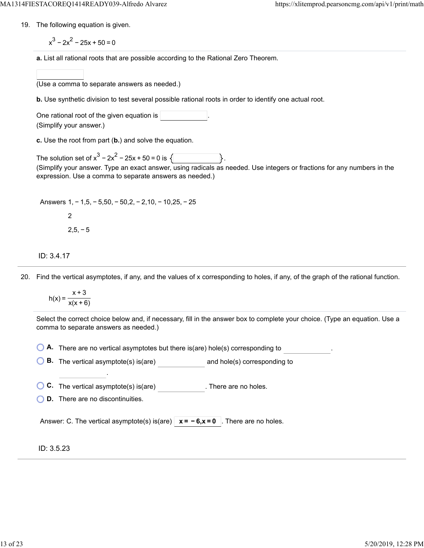19. The following equation is given.

 $x^3 - 2x^2 - 25x + 50 = 0$ 

**a.** List all rational roots that are possible according to the Rational Zero Theorem.

(Use a comma to separate answers as needed.)

**b.** Use synthetic division to test several possible rational roots in order to identify one actual root.

One rational root of the given equation is (Simplify your answer.)

**c.** Use the root from part (**b.**) and solve the equation.

The solution set of  $x^3 - 2x^2 - 25x + 50 = 0$  is  $\sqrt{2}$ (Simplify your answer. Type an exact answer, using radicals as needed. Use integers or fractions for any numbers in the expression. Use a comma to separate answers as needed.)

Answers 1, − 1,5, − 5,50, − 50,2, − 2,10, − 10,25, − 25 2  $2,5,-5$ 

ID: 3.4.17

20. Find the vertical asymptotes, if any, and the values of x corresponding to holes, if any, of the graph of the rational function.

$$
h(x) = \frac{x+3}{x(x+6)}
$$

Select the correct choice below and, if necessary, fill in the answer box to complete your choice. (Type an equation. Use a comma to separate answers as needed.)

**A.** There are no vertical asymptotes but there is(are) hole(s) corresponding to .

**B.** The vertical asymptote(s) is(are) and hole(s) corresponding to

**C.** The vertical asymptote(s) is(are) . There are no holes.

**D.** There are no discontinuities.

.

Answer: C. The vertical asymptote(s) is(are)  $\overline{x} = -6, x = 0$ . There are no holes.

ID: 3.5.23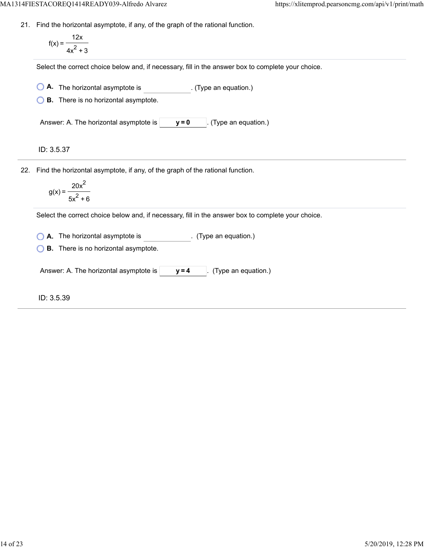21. Find the horizontal asymptote, if any, of the graph of the rational function.

$$
f(x) = \frac{12x}{4x^2 + 3}
$$

Select the correct choice below and, if necessary, fill in the answer box to complete your choice.

**A.** The horizontal asymptote is . (Type an equation.)

**B.** There is no horizontal asymptote.

Answer: A. The horizontal asymptote is  $\begin{bmatrix} y=0 \\ \end{bmatrix}$ . (Type an equation.)

ID: 3.5.37

22. Find the horizontal asymptote, if any, of the graph of the rational function.

$$
g(x) = \frac{20x^2}{5x^2 + 6}
$$

Select the correct choice below and, if necessary, fill in the answer box to complete your choice.

**A.** The horizontal asymptote is . (Type an equation.)

**B.** There is no horizontal asymptote.

Answer: A. The horizontal asymptote is  $\vert$   $\vert$   $\vert$  **y** = 4  $\vert$  . (Type an equation.)

ID: 3.5.39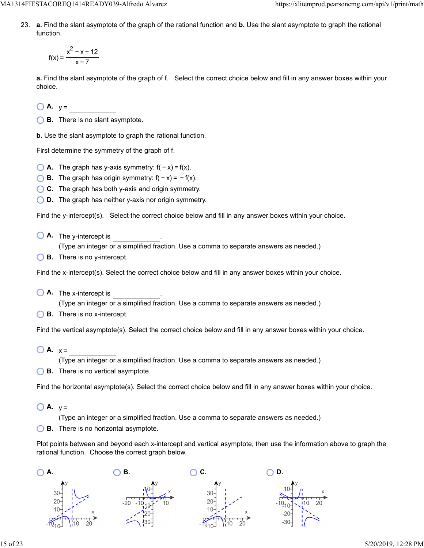MA1314FIESTACOREQ1414READY039-Alfredo Alvarez https://xlitemprod.pearsoncmg.com/api/v1/print/math

23. **a.** Find the slant asymptote of the graph of the rational function and **b.** Use the slant asymptote to graph the rational function.

$$
f(x) = \frac{x^2 - x - 12}{x - 7}
$$

**a.** Find the slant asymptote of the graph of f. Select the correct choice below and fill in any answer boxes within your choice.

 $\bigcirc$  **A.**  $y =$ 

**B.** There is no slant asymptote.

**b.** Use the slant asymptote to graph the rational function.

First determine the symmetry of the graph of f.

- $\bigcirc$  **A.** The graph has y-axis symmetry:  $f(-x) = f(x)$ .
- **B.** The graph has origin symmetry:  $f(-x) = -f(x)$ .
- **C.** The graph has both y-axis and origin symmetry.
- **D.** The graph has neither y-axis nor origin symmetry.

Find the y-intercept(s). Select the correct choice below and fill in any answer boxes within your choice.

**A.** The y-intercept is .

(Type an integer or a simplified fraction. Use a comma to separate answers as needed.)

**B.** There is no y-intercept.

Find the x-intercept(s). Select the correct choice below and fill in any answer boxes within your choice.

**A.** The x-intercept is .

(Type an integer or a simplified fraction. Use a comma to separate answers as needed.)

**B.** There is no x-intercept.

Find the vertical asymptote(s). Select the correct choice below and fill in any answer boxes within your choice.

 $\bigcirc$  **A.**  $x =$ 

(Type an integer or a simplified fraction. Use a comma to separate answers as needed.)

**B.** There is no vertical asymptote.

Find the horizontal asymptote(s). Select the correct choice below and fill in any answer boxes within your choice.

 $\bigcirc$  **A.**  $v =$ 

(Type an integer or a simplified fraction. Use a comma to separate answers as needed.)

**B.** There is no horizontal asymptote.

Plot points between and beyond each x-intercept and vertical asymptote, then use the information above to graph the rational function. Choose the correct graph below.

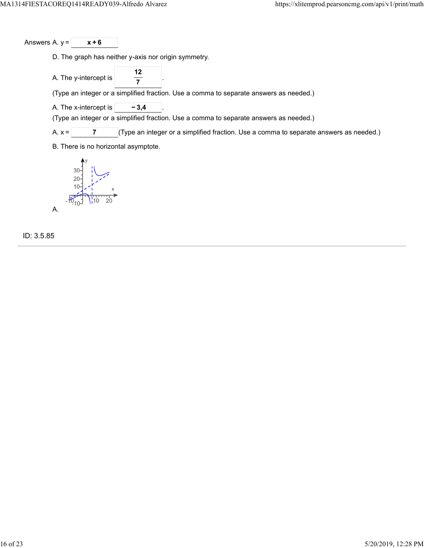Answers A.  $y = \sqrt{x+6}$ 

D. The graph has neither y-axis nor origin symmetry.

A. The y-intercept is **12 7**

(Type an integer or a simplified fraction. Use a comma to separate answers as needed.)

A. The x-intercept is  $\vert$  **−3,4** 

(Type an integer or a simplified fraction. Use a comma to separate answers as needed.)

A.  $x =$  **7** (Type an integer or a simplified fraction. Use a comma to separate answers as needed.)

B. There is no horizontal asymptote.



ID: 3.5.85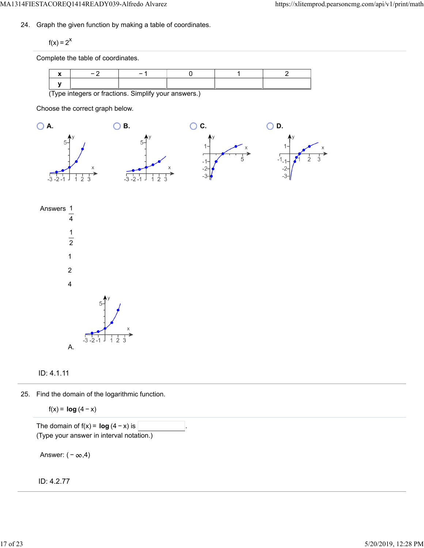24. Graph the given function by making a table of coordinates.

 $f(x) = 2^x$ 

Complete the table of coordinates.

|                                                      | $\overline{\phantom{0}}$ | - |  |  |  |
|------------------------------------------------------|--------------------------|---|--|--|--|
|                                                      |                          |   |  |  |  |
| (Type integers or fractions. Simplify your answers.) |                          |   |  |  |  |

Choose the correct graph below.







25. Find the domain of the logarithmic function.

f(x) = **log**  $(4 - x)$ 

The domain of  $f(x) = \log (4 - x)$  is (Type your answer in interval notation.)

Answer:  $(-\infty, 4)$ 

ID: 4.2.77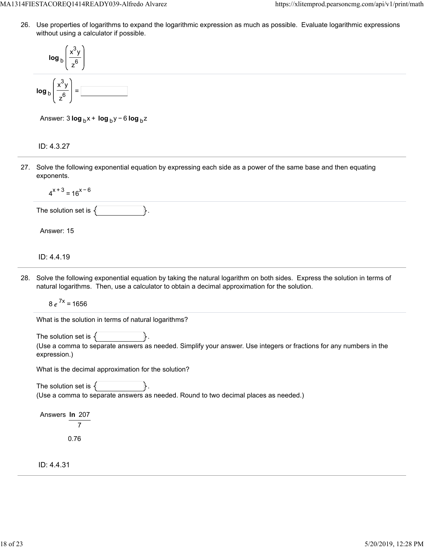26. Use properties of logarithms to expand the logarithmic expression as much as possible. Evaluate logarithmic expressions without using a calculator if possible.



Answer: 3 **log** <sub>b</sub> x + **log** <sub>b</sub> y − 6 **log** <sub>b</sub> z

ID: 4.3.27

27. Solve the following exponential equation by expressing each side as a power of the same base and then equating exponents.

 $4^{x+3}$  = 16<sup>x-6</sup>

The solution set is  $\{\vert \$ .

Answer: 15

ID: 4.4.19

28. Solve the following exponential equation by taking the natural logarithm on both sides. Express the solution in terms of natural logarithms. Then, use a calculator to obtain a decimal approximation for the solution.

 $8e^{7x} = 1656$ 

What is the solution in terms of natural logarithms?

The solution set is  $\{$ 

(Use a comma to separate answers as needed. Simplify your answer. Use integers or fractions for any numbers in the expression.)

What is the decimal approximation for the solution?

The solution set is  $\{$ (Use a comma to separate answers as needed. Round to two decimal places as needed.)

Answers **ln** 207 7 0.76

ID: 4.4.31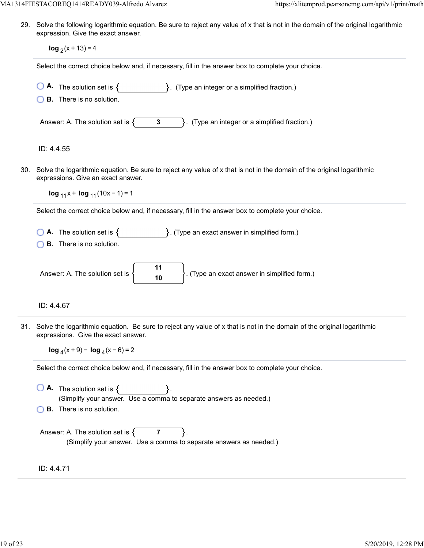29. Solve the following logarithmic equation. Be sure to reject any value of x that is not in the domain of the original logarithmic expression. Give the exact answer.

| CAPICSSION. ONC THE CARGE RITSWEI.                                                                                                                                 |
|--------------------------------------------------------------------------------------------------------------------------------------------------------------------|
| $\log_2(x + 13) = 4$                                                                                                                                               |
| Select the correct choice below and, if necessary, fill in the answer box to complete your choice.                                                                 |
| <b>A.</b> The solution set is $\{$ $\}$ . (Type an integer or a simplified fraction.)<br><b>B.</b> There is no solution.                                           |
| $\}$ . (Type an integer or a simplified fraction.)<br>Answer: A. The solution set is $\{$<br>$\mathbf{3}$                                                          |
| ID: 4.4.55                                                                                                                                                         |
| Solve the logarithmic equation. Be sure to reject any value of x that is not in the domain of the original logarithmic<br>expressions. Give an exact answer.       |
| $log_{11}x + log_{11}(10x - 1) = 1$                                                                                                                                |
| Select the correct choice below and, if necessary, fill in the answer box to complete your choice.                                                                 |
| <b>A.</b> The solution set is $\{$ $\}$ . (Type an exact answer in simplified form.)<br><b>B.</b> There is no solution.                                            |
| 11<br>. (Type an exact answer in simplified form.)<br>Answer: A. The solution set is<br>$\frac{1}{10}$                                                             |
| ID: 4.4.67                                                                                                                                                         |
| Solve the logarithmic equation. Be sure to reject any value of x that is not in the domain of the original logarithmic<br>expressions. Give the exact answer.      |
| $\log_4(x+9)$ - $\log_4(x-6)$ = 2                                                                                                                                  |
| Select the correct choice below and, if necessary, fill in the answer box to complete your choice.                                                                 |
| $\overline{\bigcirc}$ <b>A</b> . The solution set is $\{$<br>(Simplify your answer. Use a comma to separate answers as needed.)<br><b>B.</b> There is no solution. |
| Answer: A. The solution set is $\{$<br>$\overline{7}$<br>(Simplify your answer. Use a comma to separate answers as needed.)                                        |
| ID: 4.4.71                                                                                                                                                         |

30.

31.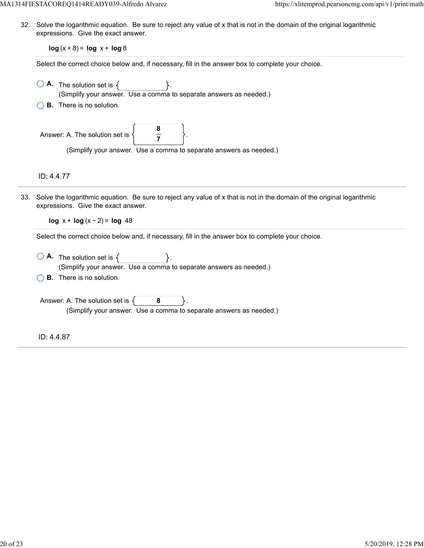32. Solve the logarithmic equation. Be sure to reject any value of x that is not in the domain of the original logarithmic expressions. Give the exact answer.

**log**  $(x + 8) = \log x + \log 8$ 

Select the correct choice below and, if necessary, fill in the answer box to complete your choice.

|     | <b>A.</b> The solution set is $\{$<br>(Simplify your answer. Use a comma to separate answers as needed.)                                                                                       |
|-----|------------------------------------------------------------------------------------------------------------------------------------------------------------------------------------------------|
|     | <b>B.</b> There is no solution.                                                                                                                                                                |
|     | Answer: A. The solution set is<br>(Simplify your answer. Use a comma to separate answers as needed.)                                                                                           |
|     | ID: 4.4.77                                                                                                                                                                                     |
| 33. | Solve the logarithmic equation. Be sure to reject any value of x that is not in the domain of the original logarithmic<br>expressions. Give the exact answer.<br>$log x + log(x - 2) = log 48$ |
|     | Select the correct choice below and, if necessary, fill in the answer box to complete your choice.                                                                                             |
|     | <b>A.</b> The solution set is $\{ \}$ .<br>(Simplify your answer. Use a comma to separate answers as needed.)                                                                                  |
|     | <b>B.</b> There is no solution.                                                                                                                                                                |
|     | Answer: A. The solution set is $\{$<br>8<br>(Simplify your answer. Use a comma to separate answers as needed.)                                                                                 |
|     | ID: 4.4.87                                                                                                                                                                                     |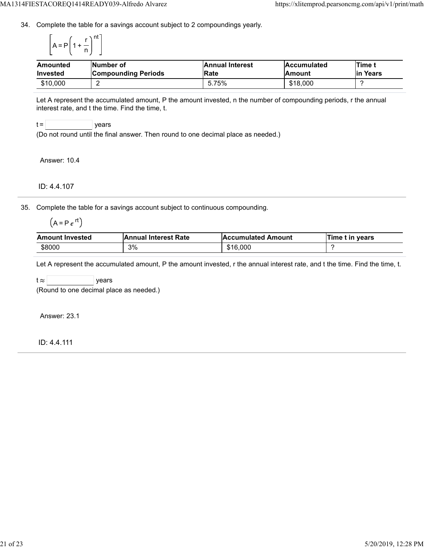34. Complete the table for a savings account subject to 2 compoundings yearly.

$$
\left[A = P\left(1 + \frac{r}{n}\right)^{nt}\right]
$$

| Amounted<br><b>Invested</b> | <b>Number of</b><br><b>Compounding Periods</b> | <b>Annual Interest</b><br><b>IRate</b> | <b>Accumulated</b><br><b>Amount</b> | Time t<br>Years<br>lin |
|-----------------------------|------------------------------------------------|----------------------------------------|-------------------------------------|------------------------|
| \$10,000                    | -                                              | 5.75%                                  | \$18,000                            |                        |

Let A represent the accumulated amount, P the amount invested, n the number of compounding periods, r the annual interest rate, and t the time. Find the time, t.



(Do not round until the final answer. Then round to one decimal place as needed.)

Answer: 10.4

ID: 4.4.107

35. Complete the table for a savings account subject to continuous compounding.

 $(A = Pe^{rt})$ 

| <b>Amount Invested</b> | <b>Annual Interest Rate</b> | <b>Accumulated Amount</b> | Time t in years |
|------------------------|-----------------------------|---------------------------|-----------------|
| \$8000                 | 3%                          | \$16,000                  |                 |

Let A represent the accumulated amount, P the amount invested, r the annual interest rate, and t the time. Find the time, t.

 $t \approx$  | years

(Round to one decimal place as needed.)

Answer: 23.1

ID: 4.4.111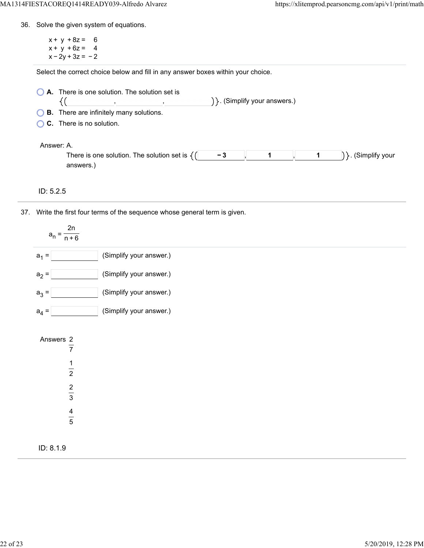36. Solve the given system of equations.

 $x + y + 8z = 6$  $x + y + 6z = 4$  $x - 2y + 3z = -2$ 

Select the correct choice below and fill in any answer boxes within your choice.

| $\bigcirc$ <b>A.</b> There is one solution. The solution set is |                                   |  |  |  |  |  |
|-----------------------------------------------------------------|-----------------------------------|--|--|--|--|--|
|                                                                 | $\{\}$ . (Simplify your answers.) |  |  |  |  |  |
| <b>CD</b> There are infinitely many solutions                   |                                   |  |  |  |  |  |

**B.** There are infinitely many solutions.

**C.** There is no solution.

### Answer: A.

| -------                                                                  |  |  |          |
|--------------------------------------------------------------------------|--|--|----------|
| There is one solution.<br>. The solution set is $\overline{\phantom{a}}$ |  |  | <br>our/ |
|                                                                          |  |  |          |

### ID: 5.2.5

37. Write the first four terms of the sequence whose general term is given.

| 2n<br>$a_n =$<br>$n + 6$                                                       |                         |
|--------------------------------------------------------------------------------|-------------------------|
| $a_1 =$                                                                        | (Simplify your answer.) |
| $a_2 =$                                                                        | (Simplify your answer.) |
| $a_3 =$                                                                        | (Simplify your answer.) |
| $a_4 =$                                                                        | (Simplify your answer.) |
| Answers 2<br>$\overline{7}$<br>$\frac{1}{2}$<br>$\frac{2}{3}$<br>$\frac{4}{5}$ |                         |
| ID: 8.1.9                                                                      |                         |